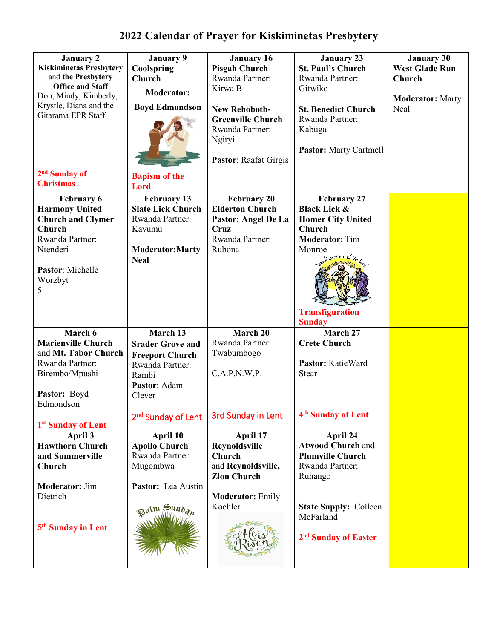| <b>January 2</b><br><b>Kiskiminetas Presbytery</b><br>and the Presbytery<br><b>Office and Staff</b><br>Don, Mindy, Kimberly,<br>Krystle, Diana and the<br>Gitarama EPR Staff | <b>January 9</b><br>Coolspring<br>Church<br><b>Moderator:</b><br><b>Boyd Edmondson</b>                               | <b>January 16</b><br><b>Pisgah Church</b><br>Rwanda Partner:<br>Kirwa B<br><b>New Rehoboth-</b><br><b>Greenville Church</b><br>Rwanda Partner:<br>Ngiryi<br>Pastor: Raafat Girgis | <b>January 23</b><br><b>St. Paul's Church</b><br>Rwanda Partner:<br>Gitwiko<br><b>St. Benedict Church</b><br>Rwanda Partner:<br>Kabuga<br><b>Pastor:</b> Marty Cartmell                   | <b>January 30</b><br><b>West Glade Run</b><br>Church<br><b>Moderator: Marty</b><br>Neal |
|------------------------------------------------------------------------------------------------------------------------------------------------------------------------------|----------------------------------------------------------------------------------------------------------------------|-----------------------------------------------------------------------------------------------------------------------------------------------------------------------------------|-------------------------------------------------------------------------------------------------------------------------------------------------------------------------------------------|-----------------------------------------------------------------------------------------|
| 2 <sup>nd</sup> Sunday of<br><b>Christmas</b>                                                                                                                                | <b>Bapism of the</b><br><b>Lord</b>                                                                                  |                                                                                                                                                                                   |                                                                                                                                                                                           |                                                                                         |
| <b>February 6</b><br><b>Harmony United</b><br><b>Church and Clymer</b><br>Church<br>Rwanda Partner:<br>Ntenderi<br>Pastor: Michelle<br>Worzbyt<br>5                          | <b>February 13</b><br><b>Slate Lick Church</b><br>Rwanda Partner:<br>Kavumu<br><b>Moderator:Marty</b><br><b>Neal</b> | <b>February 20</b><br><b>Elderton Church</b><br>Pastor: Angel De La<br>Cruz<br>Rwanda Partner:<br>Rubona                                                                          | <b>February 27</b><br><b>Black Lick &amp;</b><br><b>Homer City United</b><br>Church<br><b>Moderator: Tim</b><br>Monroe<br>and iguration of the<br><b>Transfiguration</b><br><b>Sunday</b> |                                                                                         |
| March 6<br><b>Marienville Church</b><br>and Mt. Tabor Church<br>Rwanda Partner:<br>Birembo/Mpushi<br>Pastor: Boyd<br>Edmondson                                               | March 13<br><b>Srader Grove and</b><br><b>Freeport Church</b><br>Rwanda Partner:<br>Rambi<br>Pastor: Adam<br>Clever  | March 20<br>Rwanda Partner:<br>Twabumbogo<br>C.A.P.N.W.P.                                                                                                                         | March 27<br><b>Crete Church</b><br>Pastor: KatieWard<br>Stear                                                                                                                             |                                                                                         |
| 1 <sup>st</sup> Sunday of Lent                                                                                                                                               | 2 <sup>nd</sup> Sunday of Lent                                                                                       | <b>3rd Sunday in Lent</b>                                                                                                                                                         | 4 <sup>th</sup> Sunday of Lent                                                                                                                                                            |                                                                                         |
| April 3<br><b>Hawthorn Church</b><br>and Summerville<br>Church                                                                                                               | April 10<br><b>Apollo Church</b><br>Rwanda Partner:<br>Mugombwa                                                      | April 17<br><b>Reynoldsville</b><br>Church<br>and Reynoldsville,<br><b>Zion Church</b>                                                                                            | April 24<br><b>Atwood Church and</b><br><b>Plumville Church</b><br>Rwanda Partner:<br>Ruhango                                                                                             |                                                                                         |
| <b>Moderator: Jim</b><br>Dietrich<br>5 <sup>th</sup> Sunday in Lent                                                                                                          | Pastor: Lea Austin<br>Palm Sundan                                                                                    | <b>Moderator: Emily</b><br>Koehler                                                                                                                                                | <b>State Supply: Colleen</b><br>McFarland<br>2 <sup>nd</sup> Sunday of Easter                                                                                                             |                                                                                         |

## **2022 Calendar of Prayer for Kiskiminetas Presbytery**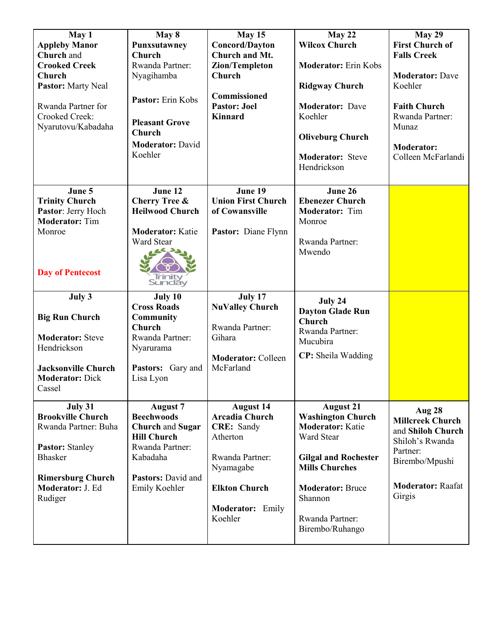| May 1                                                          | May 8                                                                   | May 15                                                              | May 22                                                                                | <b>May 29</b>                                          |
|----------------------------------------------------------------|-------------------------------------------------------------------------|---------------------------------------------------------------------|---------------------------------------------------------------------------------------|--------------------------------------------------------|
| <b>Appleby Manor</b>                                           | Punxsutawney                                                            | <b>Concord/Dayton</b>                                               | <b>Wilcox Church</b>                                                                  | <b>First Church of</b>                                 |
| Church and                                                     | Church                                                                  | Church and Mt.                                                      |                                                                                       | <b>Falls Creek</b>                                     |
| <b>Crooked Creek</b>                                           | Rwanda Partner:                                                         | Zion/Templeton                                                      | <b>Moderator:</b> Erin Kobs                                                           |                                                        |
| Church                                                         | Nyagihamba                                                              | Church                                                              |                                                                                       | <b>Moderator: Dave</b>                                 |
| <b>Pastor:</b> Marty Neal                                      |                                                                         |                                                                     | <b>Ridgway Church</b>                                                                 | Koehler                                                |
| Rwanda Partner for<br>Crooked Creek:                           | Pastor: Erin Kobs                                                       | Commissioned<br><b>Pastor: Joel</b><br><b>Kinnard</b>               | <b>Moderator: Dave</b><br>Koehler                                                     | <b>Faith Church</b><br>Rwanda Partner:                 |
| Nyarutovu/Kabadaha                                             | <b>Pleasant Grove</b><br>Church                                         |                                                                     | <b>Oliveburg Church</b>                                                               | Munaz                                                  |
|                                                                | <b>Moderator: David</b>                                                 |                                                                     |                                                                                       | <b>Moderator:</b>                                      |
|                                                                | Koehler                                                                 |                                                                     | <b>Moderator:</b> Steve<br>Hendrickson                                                | Colleen McFarlandi                                     |
| June 5                                                         | June 12                                                                 | June 19                                                             | June 26                                                                               |                                                        |
| <b>Trinity Church</b>                                          | <b>Cherry Tree &amp;</b>                                                | <b>Union First Church</b>                                           | <b>Ebenezer Church</b>                                                                |                                                        |
| Pastor: Jerry Hoch                                             | <b>Heilwood Church</b>                                                  | of Cowansville                                                      | Moderator: Tim                                                                        |                                                        |
| <b>Moderator: Tim</b>                                          |                                                                         |                                                                     | Monroe                                                                                |                                                        |
| Monroe                                                         | <b>Moderator: Katie</b>                                                 | Pastor: Diane Flynn                                                 |                                                                                       |                                                        |
|                                                                | Ward Stear                                                              |                                                                     | Rwanda Partner:                                                                       |                                                        |
|                                                                |                                                                         |                                                                     | Mwendo                                                                                |                                                        |
| <b>Day of Pentecost</b>                                        | Irimi<br>Sundăy                                                         |                                                                     |                                                                                       |                                                        |
| July 3                                                         | July 10                                                                 | July 17                                                             | July 24                                                                               |                                                        |
|                                                                | <b>Cross Roads</b>                                                      | <b>NuValley Church</b>                                              | <b>Dayton Glade Run</b>                                                               |                                                        |
| <b>Big Run Church</b>                                          | <b>Community</b>                                                        |                                                                     |                                                                                       |                                                        |
|                                                                |                                                                         |                                                                     |                                                                                       |                                                        |
|                                                                | Church                                                                  | Rwanda Partner:                                                     | <b>Church</b>                                                                         |                                                        |
| <b>Moderator: Steve</b>                                        | Rwanda Partner:                                                         | Gihara                                                              | Rwanda Partner:                                                                       |                                                        |
| Hendrickson                                                    | Nyarurama                                                               |                                                                     | Mucubira                                                                              |                                                        |
|                                                                |                                                                         | <b>Moderator: Colleen</b>                                           | CP: Sheila Wadding                                                                    |                                                        |
| <b>Jacksonville Church</b><br><b>Moderator: Dick</b><br>Cassel | Pastors: Gary and<br>Lisa Lyon                                          | McFarland                                                           |                                                                                       |                                                        |
|                                                                |                                                                         |                                                                     |                                                                                       |                                                        |
| July 31<br><b>Brookville Church</b><br>Rwanda Partner: Buha    | August 7<br><b>Beechwoods</b><br>Church and Sugar<br><b>Hill Church</b> | <b>August 14</b><br><b>Arcadia Church</b><br>CRE: Sandy<br>Atherton | <b>August 21</b><br><b>Washington Church</b><br><b>Moderator:</b> Katie<br>Ward Stear | Aug 28<br><b>Millcreek Church</b><br>and Shiloh Church |
| <b>Pastor: Stanley</b>                                         | Rwanda Partner:                                                         |                                                                     |                                                                                       | Shiloh's Rwanda                                        |
| <b>Bhasker</b>                                                 | Kabadaha                                                                | Rwanda Partner:                                                     | <b>Gilgal and Rochester</b>                                                           | Partner:                                               |
|                                                                |                                                                         | Nyamagabe                                                           | <b>Mills Churches</b>                                                                 | Birembo/Mpushi                                         |
| <b>Rimersburg Church</b>                                       | Pastors: David and                                                      |                                                                     |                                                                                       |                                                        |
| Moderator: J. Ed                                               | Emily Koehler                                                           | <b>Elkton Church</b>                                                | <b>Moderator: Bruce</b>                                                               | <b>Moderator: Raafat</b>                               |
| Rudiger                                                        |                                                                         |                                                                     | Shannon                                                                               | Girgis                                                 |
|                                                                |                                                                         | <b>Moderator:</b> Emily<br>Koehler                                  | Rwanda Partner:<br>Birembo/Ruhango                                                    |                                                        |